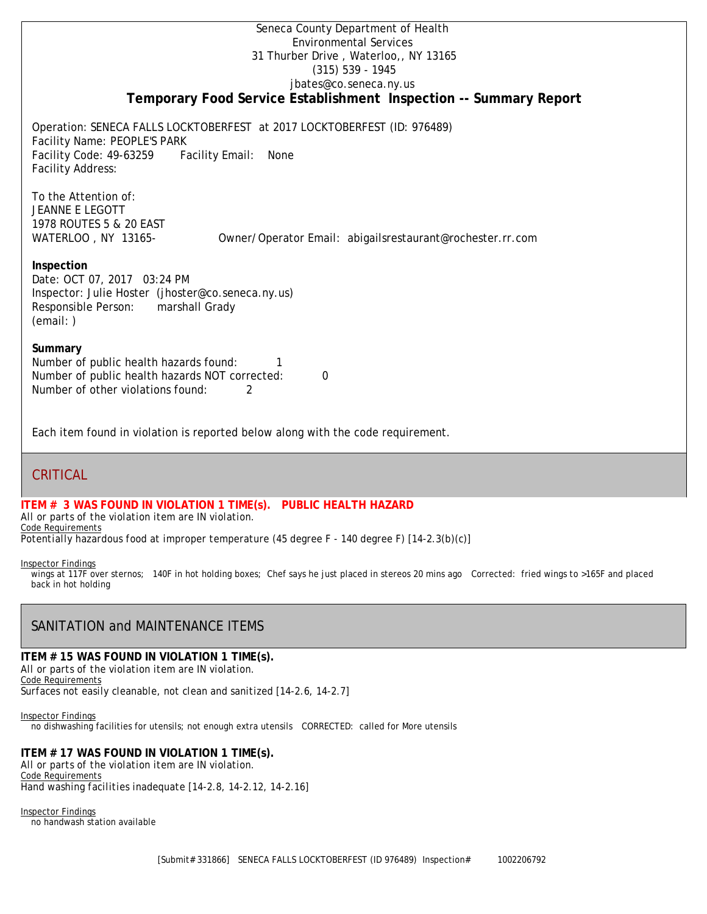## Seneca County Department of Health Environmental Services 31 Thurber Drive , Waterloo,, NY 13165 (315) 539 - 1945 [jbates@co.seneca.ny.us](mailto:jbates@co.seneca.ny.us) **Temporary Food Service Establishment Inspection -- Summary Report**

Operation: SENECA FALLS LOCKTOBERFEST at 2017 LOCKTOBERFEST (ID: 976489) Facility Name: PEOPLE'S PARK Facility Code: 49-63259 Facility Email: None Facility Address:

To the Attention of: JEANNE E LEGOTT 1978 ROUTES 5 & 20 EAST WATERLOO, NY 13165- [Owner/Operator Email: abigailsrestaurant@rochester.rr.com](mailto:abigailsrestaurant@rochester.rr.com)

### **Inspection**

Date: OCT 07, 2017 03:24 PM Inspector: Julie Hoster (jhoster@co.seneca.ny.us) Responsible Person: marshall Grady (email: )

### **Summary**

Number of public health hazards found: 1 Number of public health hazards NOT corrected: 0 Number of other violations found: 2

Each item found in violation is reported below along with the code requirement.

# CRITICAL

**ITEM # 3 WAS FOUND IN VIOLATION 1 TIME(s). PUBLIC HEALTH HAZARD**

*All or parts of the violation item are IN violation.* Code Requirements *Potentially hazardous food at improper temperature (45 degree F - 140 degree F) [14-2.3(b)(c)]*

#### Inspector Findings

wings at 117F over sternos; 140F in hot holding boxes; Chef says he just placed in stereos 20 mins ago Corrected: fried wings to >165F and placed back in hot holding

# SANITATION and MAINTENANCE ITEMS

### **ITEM # 15 WAS FOUND IN VIOLATION 1 TIME(s).**

*All or parts of the violation item are IN violation.* Code Requirements *Surfaces not easily cleanable, not clean and sanitized [14-2.6, 14-2.7]*

Inspector Findings no dishwashing facilities for utensils; not enough extra utensils CORRECTED: called for More utensils

## **ITEM # 17 WAS FOUND IN VIOLATION 1 TIME(s).**

*All or parts of the violation item are IN violation.* Code Requirements *Hand washing facilities inadequate [14-2.8, 14-2.12, 14-2.16]*

Inspector Findings

no handwash station available